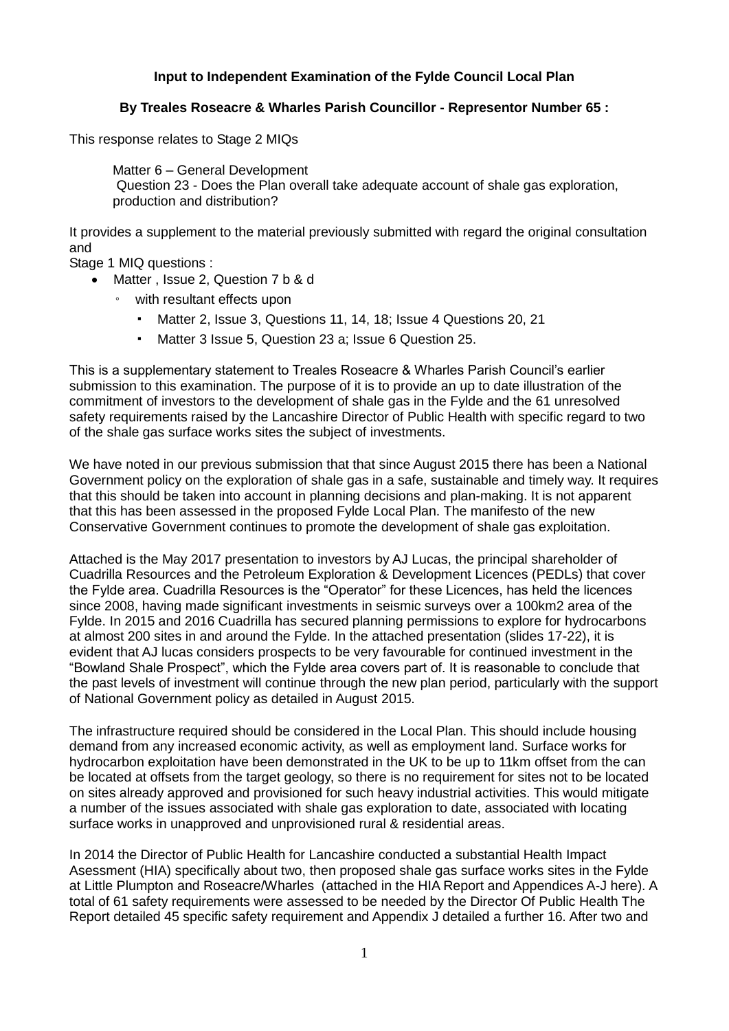## **Input to Independent Examination of the Fylde Council Local Plan**

## **By Treales Roseacre & Wharles Parish Councillor - Representor Number 65 :**

This response relates to Stage 2 MIQs

Matter 6 – General Development Question 23 - Does the Plan overall take adequate account of shale gas exploration, production and distribution?

It provides a supplement to the material previously submitted with regard the original consultation and

Stage 1 MIQ questions :

- Matter, Issue 2, Question 7 b & d
	- with resultant effects upon
		- Matter 2, Issue 3, Questions 11, 14, 18; Issue 4 Questions 20, 21
		- Matter 3 Issue 5, Question 23 a; Issue 6 Question 25.

This is a supplementary statement to Treales Roseacre & Wharles Parish Council's earlier submission to this examination. The purpose of it is to provide an up to date illustration of the commitment of investors to the development of shale gas in the Fylde and the 61 unresolved safety requirements raised by the Lancashire Director of Public Health with specific regard to two of the shale gas surface works sites the subject of investments.

We have noted in our previous submission that that since August 2015 there has been a National Government policy on the exploration of shale gas in a safe, sustainable and timely way. It requires that this should be taken into account in planning decisions and plan-making. It is not apparent that this has been assessed in the proposed Fylde Local Plan. The manifesto of the new Conservative Government continues to promote the development of shale gas exploitation.

Attached is the May 2017 presentation to investors by AJ Lucas, the principal shareholder of Cuadrilla Resources and the Petroleum Exploration & Development Licences (PEDLs) that cover the Fylde area. Cuadrilla Resources is the "Operator" for these Licences, has held the licences since 2008, having made significant investments in seismic surveys over a 100km2 area of the Fylde. In 2015 and 2016 Cuadrilla has secured planning permissions to explore for hydrocarbons at almost 200 sites in and around the Fylde. In the attached presentation (slides 17-22), it is evident that AJ lucas considers prospects to be very favourable for continued investment in the "Bowland Shale Prospect", which the Fylde area covers part of. It is reasonable to conclude that the past levels of investment will continue through the new plan period, particularly with the support of National Government policy as detailed in August 2015.

The infrastructure required should be considered in the Local Plan. This should include housing demand from any increased economic activity, as well as employment land. Surface works for hydrocarbon exploitation have been demonstrated in the UK to be up to 11km offset from the can be located at offsets from the target geology, so there is no requirement for sites not to be located on sites already approved and provisioned for such heavy industrial activities. This would mitigate a number of the issues associated with shale gas exploration to date, associated with locating surface works in unapproved and unprovisioned rural & residential areas.

In 2014 the Director of Public Health for Lancashire conducted a substantial Health Impact Asessment (HIA) specifically about two, then proposed shale gas surface works sites in the Fylde at Little Plumpton and Roseacre/Wharles (attached in the HIA Report and Appendices A-J here). A total of 61 safety requirements were assessed to be needed by the Director Of Public Health The Report detailed 45 specific safety requirement and Appendix J detailed a further 16. After two and